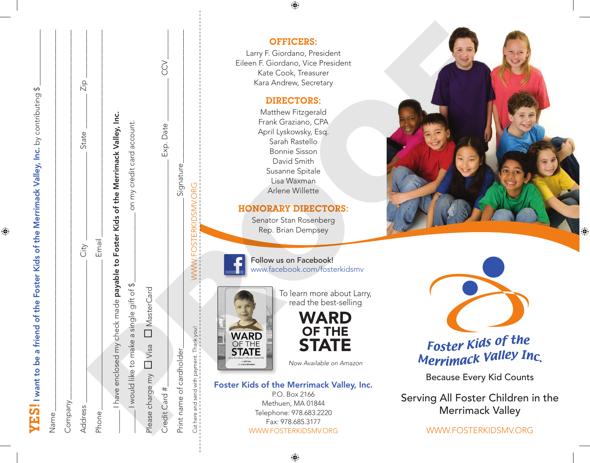YES!I want to be a friend of the Foster Kids of the Merrimack Valley, Inc. by contributing \$ \_\_\_\_\_\_\_\_\_\_\_\_\_\_\_\_  $\texttt{YES}$  I want to be a friend of the Foster Kids of the Merrimack Valley, Inc. by contributing \$

 $\bigoplus$ 

| Name                                                                             |                            |           |                      |
|----------------------------------------------------------------------------------|----------------------------|-----------|----------------------|
| Company.                                                                         |                            |           |                      |
| Address                                                                          | City                       | State     | $\frac{p}{\sqrt{2}}$ |
| Phone                                                                            | Email                      |           |                      |
| have enclosed my check made payable to Foster Kids of the Merrimack Valley, Inc. |                            |           |                      |
| would like to make a single gift of \$                                           | on my credit card account. |           |                      |
| MasterCard<br>Please charge my LI Visa                                           |                            |           |                      |
| Credit Card #.                                                                   |                            | Exp. Date | <b>SCS</b>           |
| Print name of cardholder                                                         | Signature                  |           |                      |

## Cut here and send with payment. Thank you! WWW.FOSTERKIDSMV.ORG OFFICERS: Larry F. Giordano, President Eileen F. Giordano, Vice President Kate Cook, Treasurer Kara Andrew, Secretary DIRECTORS: Matthew Fitzgerald Frank Graziano, CPA April Lyskowsky, Esq. Sarah Rastello Bonnie Sisson David Smith Susanne Spitale Lisa Waxman Arlene Willette HONORARY DIRECTORS: Senator Stan Rosenberg Rep. Brian Dempsey Follow us on Facebook! www.facebook.com/fosterkidsmv To learn more about Larry, read the best-selling WARD OF THE **STATE** *Now Available on Amazon* **EXAMPLE SERVER SERVER AND SURVEY DRECTORS:**<br>
The strain of circular contents of the contents of the strain of the strain of the contents of the contents of the contents of the contents of the contents of the contents of

Because Every Kid Counts

Serving All Foster Children in the Merrimack Valley

WWW.FOSTERKIDSMV.ORG

### Foster Kids of the Merrimack Valley, Inc.

 $\bigoplus$ 

P.O. Box 2166 Methuen, MA 01844 Telephone: 978.683.2220 Fax: 978.685.3177 WWW.FOSTERKIDSMV.ORG ♠

⊕